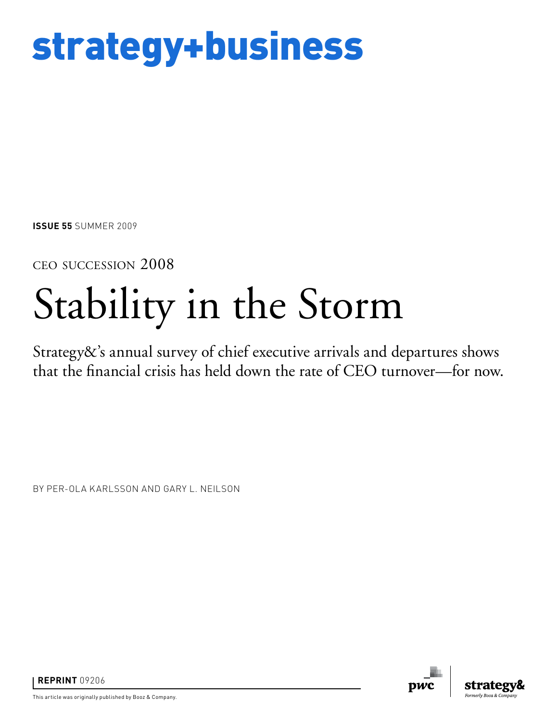### strategy+business

**ISSUE 55** SUMMER 2009

ceo succession 2008

# Stability in the Storm

Strategy&'s annual survey of chief executive arrivals and departures shows that the financial crisis has held down the rate of CEO turnover—for now.

BY PER-OLA KARLSSON AND GARY L. NEILSON

**REPRINT** 09206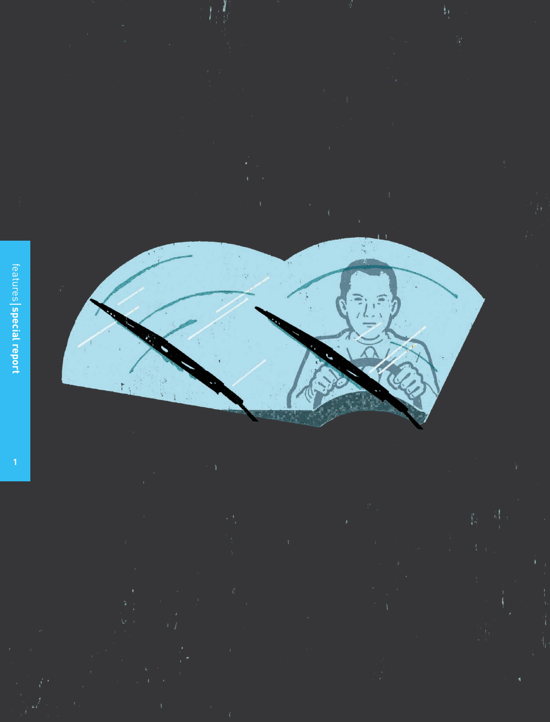

features **special report**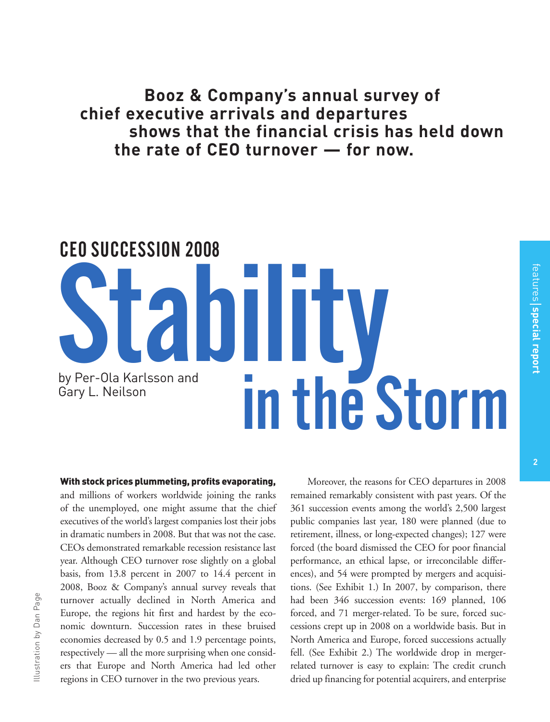**Booz & Company's annual survey of chief executive arrivals and departures shows that the financial crisis has held down the rate of CEO turnover — for now.**

# CEO SUCCESSION 2008 Sta by Per-Ola Karlsson and  $\mathbf l\mathbf l\mathbf T$ by Per-Ola Karlsson and<br>Gary L. Neilson **inthe Storm**

#### **With stock prices plummeting, profits evaporating,**

and millions of workers worldwide joining the ranks of the unemployed, one might assume that the chief executives of the world's largest companies lost their jobs in dramatic numbers in 2008. But that was not the case. CEOs demonstrated remarkable recession resistance last year. Although CEO turnover rose slightly on a global basis, from 13.8 percent in 2007 to 14.4 percent in 2008, Booz & Company's annual survey reveals that turnover actually declined in North America and Europe, the regions hit first and hardest by the economic downturn. Succession rates in these bruised economies decreased by 0.5 and 1.9 percentage points, respectively — all the more surprising when one considers that Europe and North America had led other regions in CEO turnover in the two previous years.

Moreover, the reasons for CEO departures in 2008 remained remarkably consistent with past years. Of the 361 succession events among the world's 2,500 largest public companies last year, 180 were planned (due to retirement, illness, or long-expected changes); 127 were forced (the board dismissed the CEO for poor financial performance, an ethical lapse, or irreconcilable differences), and 54 were prompted by mergers and acquisitions. (See Exhibit 1.) In 2007, by comparison, there had been 346 succession events: 169 planned, 106 forced, and 71 merger-related. To be sure, forced successions crept up in 2008 on a worldwide basis. But in North America and Europe, forced successions actually fell. (See Exhibit 2.) The worldwide drop in mergerrelated turnover is easy to explain: The credit crunch dried up financing for potential acquirers, and enterprise features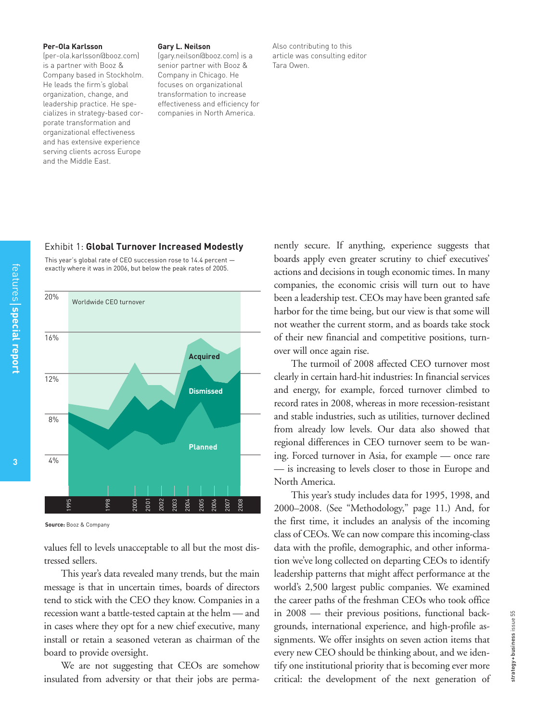#### **Per-Ola Karlsson**

(per-ola.karlsson@booz.com) is a partner with Booz & Company based in Stockholm. He leads the firm's global organization, change, and leadership practice. He specializes in strategy-based corporate transformation and organizational effectiveness and has extensive experience serving clients across Europe and the Middle East.

#### **Gary L. Neilson**

(gary.neilson@booz.com) is a senior partner with Booz & Company in Chicago. He focuses on organizational transformation to increase effectiveness and efficiency for companies in North America.

Also contributing to this article was consulting editor Tara Owen.

**3**

#### Exhibit 1: **Global Turnover Increased Modestly**

This year's global rate of CEO succession rose to  $14.4$  percent  $$ exactly where it was in 2006, but below the peak rates of 2005.



**Source:** Booz & Company

values fell to levels unacceptable to all but the most distressed sellers.

This year's data revealed many trends, but the main message is that in uncertain times, boards of directors tend to stick with the CEO they know. Companies in a recession want a battle-tested captain at the helm — and in cases where they opt for a new chief executive, many install or retain a seasoned veteran as chairman of the board to provide oversight.

We are not suggesting that CEOs are somehow insulated from adversity or that their jobs are perma-

nently secure. If anything, experience suggests that boards apply even greater scrutiny to chief executives' actions and decisions in tough economic times. In many companies, the economic crisis will turn out to have been a leadership test. CEOs may have been granted safe harbor for the time being, but our view is that some will not weather the current storm, and as boards take stock of their new financial and competitive positions, turnover will once again rise.

The turmoil of 2008 affected CEO turnover most clearly in certain hard-hit industries: In financial services and energy, for example, forced turnover climbed to record rates in 2008, whereas in more recession-resistant and stable industries, such as utilities, turnover declined from already low levels. Our data also showed that regional differences in CEO turnover seem to be waning. Forced turnover in Asia, for example — once rare — is increasing to levels closer to those in Europe and North America.

This year's study includes data for 1995, 1998, and 2000–2008. (See "Methodology," page 11.) And, for the first time, it includes an analysis of the incoming class of CEOs. We can now compare this incoming-class data with the profile, demographic, and other information we've long collected on departing CEOs to identify leadership patterns that might affect performance at the world's 2,500 largest public companies. We examined the career paths of the freshman CEOs who took office in 2008 — their previous positions, functional backgrounds, international experience, and high-profile assignments. We offer insights on seven action items that every new CEO should be thinking about, and we identify one institutional priority that is becoming ever more critical: the development of the next generation of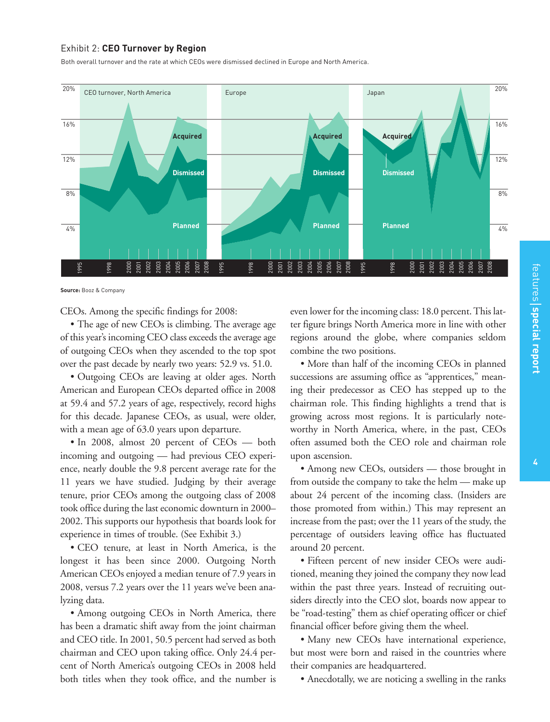#### **Exhibit 2: CEO Turnover by Region**

Both overall turnover and the rate at which CEOs were dismissed declined in Europe and North America.



Source: Booz & Company

CEOs. Among the specific findings for 2008:

• The age of new CEOs is climbing. The average age of this year's incoming CEO class exceeds the average age of outgoing CEOs when they ascended to the top spot over the past decade by nearly two years: 52.9 vs. 51.0.

• Outgoing CEOs are leaving at older ages. North American and European CEOs departed office in 2008 at 59.4 and 57.2 years of age, respectively, record highs for this decade. Japanese CEOs, as usual, were older, with a mean age of 63.0 years upon departure.

• In 2008, almost 20 percent of CEOs — both incoming and outgoing — had previous CEO experience, nearly double the 9.8 percent average rate for the 11 years we have studied. Judging by their average tenure, prior CEOs among the outgoing class of 2008 took office during the last economic downturn in 2000– 2002. This supports our hypothesis that boards look for experience in times of trouble. (See Exhibit 3.)

• CEO tenure, at least in North America, is the longest it has been since 2000. Outgoing North American CEOs enjoyed a median tenure of 7.9 years in 2008, versus 7.2 years over the 11 years we've been analyzing data.

• Among outgoing CEOs in North America, there has been a dramatic shift away from the joint chairman and CEO title. In 2001, 50.5 percent had served as both chairman and CEO upon taking office. Only 24.4 percent of North America's outgoing CEOs in 2008 held both titles when they took office, and the number is even lower for the incoming class: 18.0 percent. This latter figure brings North America more in line with other regions around the globe, where companies seldom combine the two positions.

• More than half of the incoming CEOs in planned successions are assuming office as "apprentices," meaning their predecessor as CEO has stepped up to the chairman role. This finding highlights a trend that is growing across most regions. It is particularly noteworthy in North America, where, in the past, CEOs often assumed both the CEO role and chairman role upon ascension.

• Among new CEOs, outsiders — those brought in from outside the company to take the helm — make up about 24 percent of the incoming class. (Insiders are those promoted from within.) This may represent an increase from the past; over the 11 years of the study, the percentage of outsiders leaving office has fluctuated around 20 percent.

• Fifteen percent of new insider CEOs were auditioned, meaning they joined the company they now lead within the past three years. Instead of recruiting outsiders directly into the CEO slot, boards now appear to be "road-testing" them as chief operating officer or chief financial officer before giving them the wheel.

• Many new CEOs have international experience, but most were born and raised in the countries where their companies are headquartered.

• Anecdotally, we are noticing a swelling in the ranks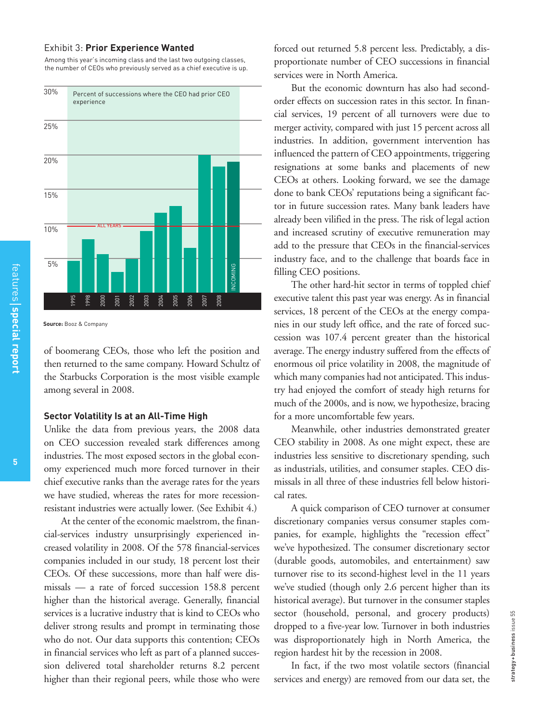#### **Exhibit 3: Prior Experience Wanted**

Among this year's incoming class and the last two outgoing classes, the number of CEOs who previously served as a chief executive is up.



**Source:** Booz & Company

of boomerang CEOs, those who left the position and then returned to the same company. Howard Schultz of the Starbucks Corporation is the most visible example among several in 2008.

#### **Sector Volatility Is at an All-Time High**

Unlike the data from previous years, the 2008 data on CEO succession revealed stark differences among industries. The most exposed sectors in the global economy experienced much more forced turnover in their chief executive ranks than the average rates for the years we have studied, whereas the rates for more recessionresistant industries were actually lower. (See Exhibit 4.)

At the center of the economic maelstrom, the financial-services industry unsurprisingly experienced increased volatility in 2008. Of the 578 financial-services companies included in our study, 18 percent lost their CEOs. Of these successions, more than half were dismissals — a rate of forced succession 158.8 percent higher than the historical average. Generally, financial services is a lucrative industry that is kind to CEOs who deliver strong results and prompt in terminating those who do not. Our data supports this contention; CEOs in financial services who left as part of a planned succession delivered total shareholder returns 8.2 percent higher than their regional peers, while those who were forced out returned 5.8 percent less. Predictably, a disproportionate number of CEO successions in financial services were in North America.

But the economic downturn has also had secondorder effects on succession rates in this sector. In financial services, 19 percent of all turnovers were due to merger activity, compared with just 15 percent across all industries. In addition, government intervention has influenced the pattern of CEO appointments, triggering resignations at some banks and placements of new CEOs at others. Looking forward, we see the damage done to bank CEOs' reputations being a significant factor in future succession rates. Many bank leaders have already been vilified in the press. The risk of legal action and increased scrutiny of executive remuneration may add to the pressure that CEOs in the financial-services industry face, and to the challenge that boards face in filling CEO positions.

The other hard-hit sector in terms of toppled chief executive talent this past year was energy. As in financial services, 18 percent of the CEOs at the energy companies in our study left office, and the rate of forced succession was 107.4 percent greater than the historical average. The energy industry suffered from the effects of enormous oil price volatility in 2008, the magnitude of which many companies had not anticipated. This industry had enjoyed the comfort of steady high returns for much of the 2000s, and is now, we hypothesize, bracing for a more uncomfortable few years.

Meanwhile, other industries demonstrated greater CEO stability in 2008. As one might expect, these are industries less sensitive to discretionary spending, such as industrials, utilities, and consumer staples. CEO dismissals in all three of these industries fell below historical rates.

A quick comparison of CEO turnover at consumer discretionary companies versus consumer staples companies, for example, highlights the "recession effect" we've hypothesized. The consumer discretionary sector (durable goods, automobiles, and entertainment) saw turnover rise to its second-highest level in the 11 years we've studied (though only 2.6 percent higher than its historical average). But turnover in the consumer staples sector (household, personal, and grocery products) dropped to a five-year low. Turnover in both industries was disproportionately high in North America, the region hardest hit by the recession in 2008.

In fact, if the two most volatile sectors (financial services and energy) are removed from our data set, the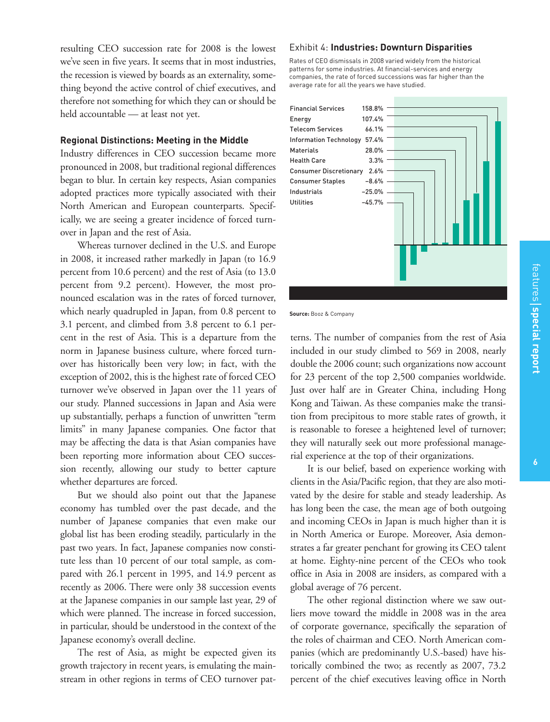resulting CEO succession rate for 2008 is the lowest we've seen in five years. It seems that in most industries, the recession is viewed by boards as an externality, something beyond the active control of chief executives, and therefore not something for which they can or should be held accountable — at least not yet.

#### **Regional Distinctions: Meeting in the Middle**

Industry differences in CEO succession became more pronounced in 2008, but traditional regional differences began to blur. In certain key respects, Asian companies adopted practices more typically associated with their North American and European counterparts. Specifically, we are seeing a greater incidence of forced turnover in Japan and the rest of Asia.

Whereas turnover declined in the U.S. and Europe in 2008, it increased rather markedly in Japan (to 16.9 percent from 10.6 percent) and the rest of Asia (to 13.0 percent from 9.2 percent). However, the most pronounced escalation was in the rates of forced turnover, which nearly quadrupled in Japan, from 0.8 percent to 3.1 percent, and climbed from 3.8 percent to 6.1 percent in the rest of Asia. This is a departure from the norm in Japanese business culture, where forced turnover has historically been very low; in fact, with the exception of 2002, this is the highest rate of forced CEO turnover we've observed in Japan over the 11 years of our study. Planned successions in Japan and Asia were up substantially, perhaps a function of unwritten "term limits" in many Japanese companies. One factor that may be affecting the data is that Asian companies have been reporting more information about CEO succession recently, allowing our study to better capture whether departures are forced.

But we should also point out that the Japanese economy has tumbled over the past decade, and the number of Japanese companies that even make our global list has been eroding steadily, particularly in the past two years. In fact, Japanese companies now constitute less than 10 percent of our total sample, as compared with 26.1 percent in 1995, and 14.9 percent as recently as 2006. There were only 38 succession events at the Japanese companies in our sample last year, 29 of which were planned. The increase in forced succession, in particular, should be understood in the context of the Japanese economy's overall decline.

The rest of Asia, as might be expected given its growth trajectory in recent years, is emulating the mainstream in other regions in terms of CEO turnover pat-

#### Exhibit 4: **Industries: Downturn Disparities**

Rates of CEO dismissals in 2008 varied widely from the historical patterns for some industries. At financial-services and energy companies, the rate of forced successions was far higher than the average rate for all the years we have studied.



**Source:** Booz & Company

terns. The number of companies from the rest of Asia included in our study climbed to 569 in 2008, nearly double the 2006 count; such organizations now account for 23 percent of the top 2,500 companies worldwide. Just over half are in Greater China, including Hong Kong and Taiwan. As these companies make the transition from precipitous to more stable rates of growth, it is reasonable to foresee a heightened level of turnover; they will naturally seek out more professional managerial experience at the top of their organizations.

It is our belief, based on experience working with clients in the Asia/Pacific region, that they are also motivated by the desire for stable and steady leadership. As has long been the case, the mean age of both outgoing and incoming CEOs in Japan is much higher than it is in North America or Europe. Moreover, Asia demonstrates a far greater penchant for growing its CEO talent at home. Eighty-nine percent of the CEOs who took office in Asia in 2008 are insiders, as compared with a global average of 76 percent.

The other regional distinction where we saw outliers move toward the middle in 2008 was in the area of corporate governance, specifically the separation of the roles of chairman and CEO. North American companies (which are predominantly U.S.-based) have historically combined the two; as recently as 2007, 73.2 percent of the chief executives leaving office in North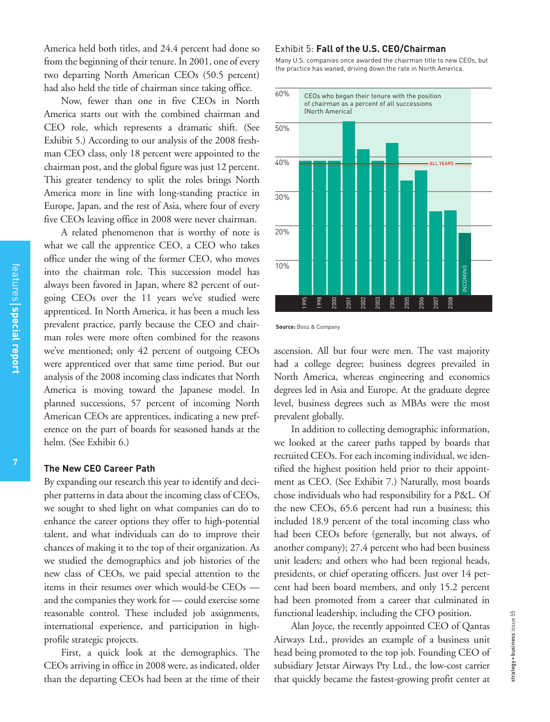America held both titles, and 24.4 percent had done so from the beginning of their tenure. In 2001, one of every two departing North American CEOs (50.5 percent) had also held the title of chairman since taking office.

Now, fewer than one in five CEOs in North America starts out with the combined chairman and CEO role, which represents a dramatic shift. (See Exhibit 5.) According to our analysis of the 2008 freshman CEO class, only 18 percent were appointed to the chairman post, and the global figure was just 12 percent. This greater tendency to split the roles brings North America more in line with long-standing practice in Europe, Japan, and the rest of Asia, where four of every five CEOs leaving office in 2008 were never chairman.

A related phenomenon that is worthy of note is what we call the apprentice CEO, a CEO who takes office under the wing of the former CEO, who moves into the chairman role. This succession model has always been favored in Japan, where 82 percent of outgoing CEOs over the 11 years we've studied were apprenticed. In North America, it has been a much less prevalent practice, partly because the CEO and chairman roles were more often combined for the reasons we've mentioned; only 42 percent of outgoing CEOs were apprenticed over that same time period. But our analysis of the 2008 incoming class indicates that North America is moving toward the Japanese model. In planned successions, 57 percent of incoming North American CEOs are apprentices, indicating a new preference on the part of boards for seasoned hands at the helm. (See Exhibit 6.)

#### **The New CEO Career Path**

By expanding our research this year to identify and decipher patterns in data about the incoming class of CEOs, we sought to shed light on what companies can do to enhance the career options they offer to high-potential talent, and what individuals can do to improve their chances of making it to the top of their organization. As we studied the demographics and job histories of the new class of CEOs, we paid special attention to the items in their resumes over which would-be CEOs and the companies they work for — could exercise some reasonable control. These included job assignments, international experience, and participation in highprofile strategic projects.

First, a quick look at the demographics. The CEOs arriving in office in 2008 were, as indicated, older than the departing CEOs had been at the time of their

#### Exhibit 5: **Fall of the U.S. CEO/Chairman**

Many U.S. companies once awarded the chairman title to new CEOs, but the practice has waned, driving down the rate in North America.



**Source:** Booz & Company

ascension. All but four were men. The vast majority had a college degree; business degrees prevailed in North America, whereas engineering and economics degrees led in Asia and Europe. At the graduate degree level, business degrees such as MBAs were the most prevalent globally.

In addition to collecting demographic information, we looked at the career paths tapped by boards that recruited CEOs. For each incoming individual, we identified the highest position held prior to their appointment as CEO. (See Exhibit 7.) Naturally, most boards chose individuals who had responsibility for a P&L. Of the new CEOs, 65.6 percent had run a business; this included 18.9 percent of the total incoming class who had been CEOs before (generally, but not always, of another company); 27.4 percent who had been business unit leaders; and others who had been regional heads, presidents, or chief operating officers. Just over 14 percent had been board members, and only 15.2 percent had been promoted from a career that culminated in functional leadership, including the CFO position.

Alan Joyce, the recently appointed CEO of Qantas Airways Ltd., provides an example of a business unit head being promoted to the top job. Founding CEO of subsidiary Jetstar Airways Pty Ltd., the low-cost carrier that quickly became the fastest-growing profit center at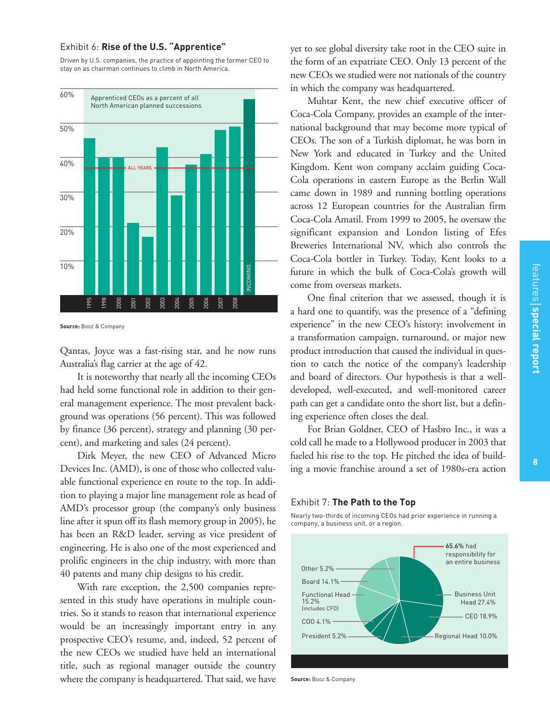#### Exhibit 6: **Rise of the U.S. "Apprentice"**

Driven by U.S. companies, the practice of appointing the former CEO to stay on as chairman continues to climb in North America.



**Source:** Booz & Company

Qantas, Joyce was a fast-rising star, and he now runs Australia's flag carrier at the age of 42.

It is noteworthy that nearly all the incoming CEOs had held some functional role in addition to their general management experience. The most prevalent background was operations (56 percent). This was followed by finance (36 percent), strategy and planning (30 percent), and marketing and sales (24 percent).

Dirk Meyer, the new CEO of Advanced Micro Devices Inc. (AMD), is one of those who collected valuable functional experience en route to the top. In addition to playing a major line management role as head of AMD's processor group (the company's only business line after it spun off its flash memory group in 2005), he has been an R&D leader, serving as vice president of engineering. He is also one of the most experienced and prolific engineers in the chip industry, with more than 40 patents and many chip designs to his credit.

With rare exception, the 2,500 companies represented in this study have operations in multiple countries. So it stands to reason that international experience would be an increasingly important entry in any prospective CEO's resume, and, indeed, 52 percent of the new CEOs we studied have held an international title, such as regional manager outside the country where the company is headquartered. That said, we have yet to see global diversity take root in the CEO suite in the form of an expatriate CEO. Only 13 percent of the new CEOs we studied were not nationals of the country in which the company was headquartered.

Muhtar Kent, the new chief executive officer of Coca-Cola Company, provides an example of the international background that may become more typical of CEOs. The son of a Turkish diplomat, he was born in New York and educated in Turkey and the United Kingdom. Kent won company acclaim guiding Coca-Cola operations in eastern Europe as the Berlin Wall came down in 1989 and running bottling operations across 12 European countries for the Australian firm Coca-Cola Amatil. From 1999 to 2005, he oversaw the significant expansion and London listing of Efes Breweries International NV, which also controls the Coca-Cola bottler in Turkey. Today, Kent looks to a future in which the bulk of Coca-Cola's growth will come from overseas markets.

One final criterion that we assessed, though it is a hard one to quantify, was the presence of a "defining experience" in the new CEO's history: involvement in a transformation campaign, turnaround, or major new product introduction that caused the individual in question to catch the notice of the company's leadership and board of directors. Our hypothesis is that a welldeveloped, well-executed, and well-monitored career path can get a candidate onto the short list, but a defining experience often closes the deal.

For Brian Goldner, CEO of Hasbro Inc., it was a cold call he made to a Hollywood producer in 2003 that fueled his rise to the top. He pitched the idea of building a movie franchise around a set of 1980s-era action

#### Exhibit 7: **The Path to the Top**

Nearly two-thirds of incoming CEOs had prior experience in running a company, a business unit, or a region.



Source: Booz & Company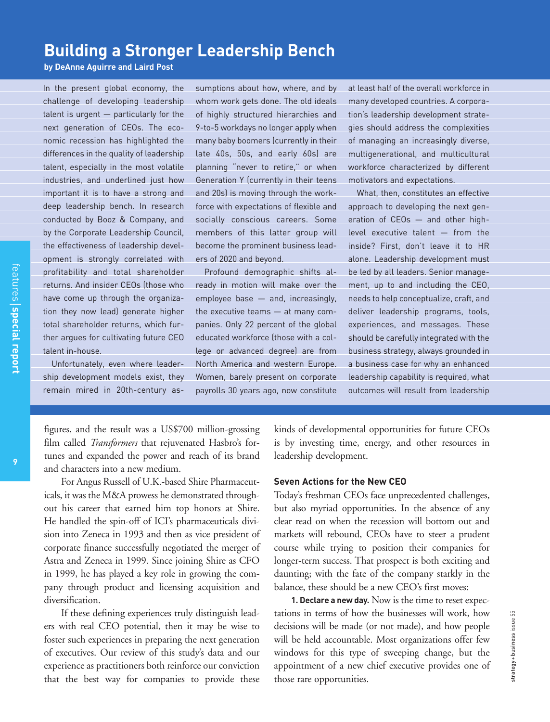### **Building a Stronger Leadership Bench**

**by DeAnne Aguirre and Laird Post**

In the present global economy, the challenge of developing leadership talent is urgent — particularly for the next generation of CEOs. The economic recession has highlighted the differences in the quality of leadership talent, especially in the most volatile industries, and underlined just how important it is to have a strong and deep leadership bench. In research conducted by Booz & Company, and by the Corporate Leadership Council, the effectiveness of leadership development is strongly correlated with profitability and total shareholder returns. And insider CEOs (those who have come up through the organization they now lead) generate higher total shareholder returns, which further argues for cultivating future CEO talent in-house.

Unfortunately, even where leadership development models exist, they remain mired in 20th-century assumptions about how, where, and by whom work gets done. The old ideals of highly structured hierarchies and 9-to-5 workdays no longer apply when many baby boomers (currently in their late 40s, 50s, and early 60s) are planning "never to retire," or when Generation Y (currently in their teens and 20s) is moving through the workforce with expectations of flexible and socially conscious careers. Some members of this latter group will become the prominent business leaders of 2020 and beyond.

Profound demographic shifts already in motion will make over the employee base — and, increasingly, the executive teams — at many companies. Only 22 percent of the global educated workforce (those with a college or advanced degree) are from North America and western Europe. Women, barely present on corporate payrolls 30 years ago, now constitute

at least half of the overall workforce in many developed countries. A corporation's leadership development strategies should address the complexities of managing an increasingly diverse, multigenerational, and multicultural workforce characterized by different motivators and expectations.

What, then, constitutes an effective approach to developing the next generation of CEOs — and other highlevel executive talent — from the inside? First, don't leave it to HR alone. Leadership development must be led by all leaders. Senior management, up to and including the CEO, needs to help conceptualize, craft, and deliver leadership programs, tools, experiences, and messages. These should be carefully integrated with the business strategy, always grounded in a business case for why an enhanced leadership capability is required, what outcomes will result from leadership

figures, and the result was a US\$700 million-grossing film called *Transformers* that rejuvenated Hasbro's fortunes and expanded the power and reach of its brand and characters into a new medium.

For Angus Russell of U.K.-based Shire Pharmaceuticals, it was the M&A prowess he demonstrated throughout his career that earned him top honors at Shire. He handled the spin-off of ICI's pharmaceuticals division into Zeneca in 1993 and then as vice president of corporate finance successfully negotiated the merger of Astra and Zeneca in 1999. Since joining Shire as CFO in 1999, he has played a key role in growing the company through product and licensing acquisition and diversification.

If these defining experiences truly distinguish leaders with real CEO potential, then it may be wise to foster such experiences in preparing the next generation of executives. Our review of this study's data and our experience as practitioners both reinforce our conviction that the best way for companies to provide these kinds of developmental opportunities for future CEOs is by investing time, energy, and other resources in leadership development.

#### **Seven Actions for the New CEO**

Today's freshman CEOs face unprecedented challenges, but also myriad opportunities. In the absence of any clear read on when the recession will bottom out and markets will rebound, CEOs have to steer a prudent course while trying to position their companies for longer-term success. That prospect is both exciting and daunting; with the fate of the company starkly in the balance, these should be a new CEO's first moves:

**1. Declare a new day.** Now is the time to reset expectations in terms of how the businesses will work, how decisions will be made (or not made), and how people will be held accountable. Most organizations offer few windows for this type of sweeping change, but the appointment of a new chief executive provides one of those rare opportunities.

**9**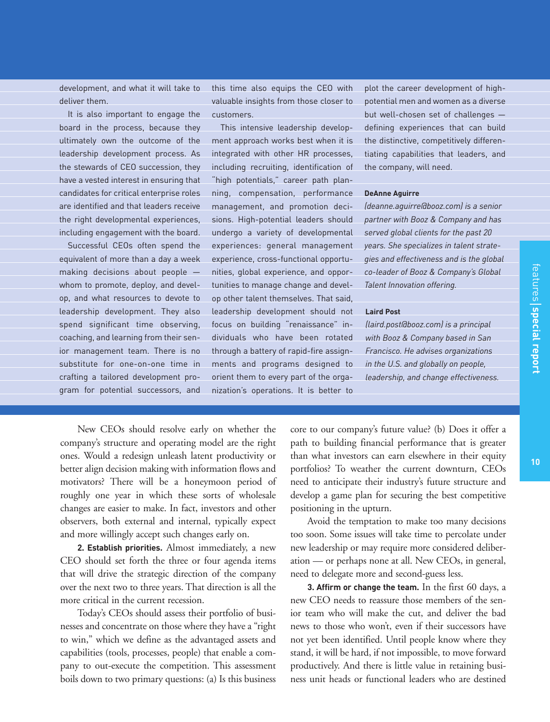development, and what it will take to deliver them.

It is also important to engage the board in the process, because they ultimately own the outcome of the leadership development process. As the stewards of CEO succession, they have a vested interest in ensuring that candidates for critical enterprise roles are identified and that leaders receive the right developmental experiences, including engagement with the board.

Successful CEOs often spend the equivalent of more than a day a week making decisions about people whom to promote, deploy, and develop, and what resources to devote to leadership development. They also spend significant time observing, coaching, and learning from their senior management team. There is no substitute for one-on-one time in crafting a tailored development program for potential successors, and this time also equips the CEO with valuable insights from those closer to customers.

This intensive leadership development approach works best when it is integrated with other HR processes, including recruiting, identification of "high potentials," career path planning, compensation, performance management, and promotion decisions. High-potential leaders should undergo a variety of developmental experiences: general management experience, cross-functional opportunities, global experience, and opportunities to manage change and develop other talent themselves. That said, leadership development should not focus on building "renaissance" individuals who have been rotated through a battery of rapid-fire assignments and programs designed to orient them to every part of the organization's operations. It is better to plot the career development of highpotential men and women as a diverse but well-chosen set of challenges defining experiences that can build the distinctive, competitively differentiating capabilities that leaders, and the company, will need.

#### **DeAnne Aguirre**

*(deanne.aguirre@booz.com) is a senior partner with Booz & Company and has served global clients for the past 20 years. She specializes in talent strategies and effectiveness and is the global co-leader of Booz & Company's Global Talent Innovation offering.*

#### **Laird Post**

*(laird.post@booz.com) is a principal with Booz & Company based in San Francisco. He advises organizations in the U.S. and globally on people, leadership, and change effectiveness.*

New CEOs should resolve early on whether the company's structure and operating model are the right ones. Would a redesign unleash latent productivity or better align decision making with information flows and motivators? There will be a honeymoon period of roughly one year in which these sorts of wholesale changes are easier to make. In fact, investors and other observers, both external and internal, typically expect and more willingly accept such changes early on.

**2. Establish priorities.** Almost immediately, a new CEO should set forth the three or four agenda items that will drive the strategic direction of the company over the next two to three years. That direction is all the more critical in the current recession.

Today's CEOs should assess their portfolio of businesses and concentrate on those where they have a "right to win," which we define as the advantaged assets and capabilities (tools, processes, people) that enable a company to out-execute the competition. This assessment boils down to two primary questions: (a) Is this business core to our company's future value? (b) Does it offer a path to building financial performance that is greater than what investors can earn elsewhere in their equity portfolios? To weather the current downturn, CEOs need to anticipate their industry's future structure and develop a game plan for securing the best competitive positioning in the upturn.

Avoid the temptation to make too many decisions too soon. Some issues will take time to percolate under new leadership or may require more considered deliberation — or perhaps none at all. New CEOs, in general, need to delegate more and second-guess less.

**3. Affirm or change the team.** In the first 60 days, a new CEO needs to reassure those members of the senior team who will make the cut, and deliver the bad news to those who won't, even if their successors have not yet been identified. Until people know where they stand, it will be hard, if not impossible, to move forward productively. And there is little value in retaining business unit heads or functional leaders who are destined

features

**special report**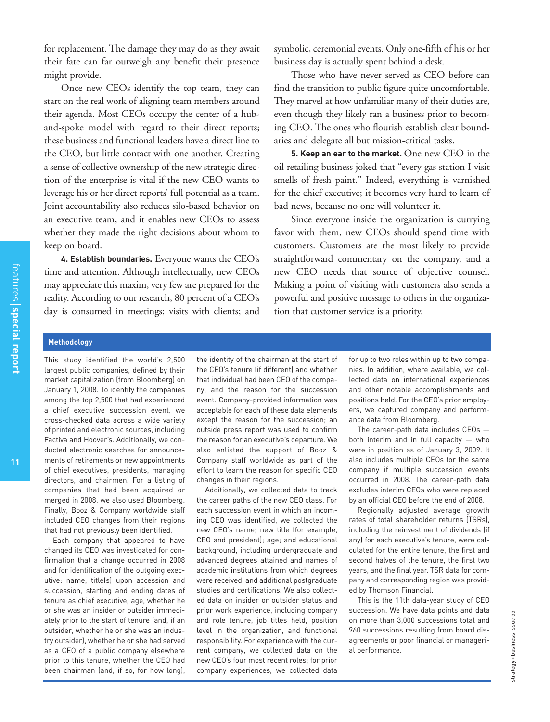for replacement. The damage they may do as they await their fate can far outweigh any benefit their presence might provide.

Once new CEOs identify the top team, they can start on the real work of aligning team members around their agenda. Most CEOs occupy the center of a huband-spoke model with regard to their direct reports; these business and functional leaders have a direct line to the CEO, but little contact with one another. Creating a sense of collective ownership of the new strategic direction of the enterprise is vital if the new CEO wants to leverage his or her direct reports' full potential as a team. Joint accountability also reduces silo-based behavior on an executive team, and it enables new CEOs to assess whether they made the right decisions about whom to keep on board.

**4. Establish boundaries.** Everyone wants the CEO's time and attention. Although intellectually, new CEOs may appreciate this maxim, very few are prepared for the reality. According to our research, 80 percent of a CEO's day is consumed in meetings; visits with clients; and symbolic, ceremonial events. Only one-fifth of his or her business day is actually spent behind a desk.

Those who have never served as CEO before can find the transition to public figure quite uncomfortable. They marvel at how unfamiliar many of their duties are, even though they likely ran a business prior to becoming CEO. The ones who flourish establish clear boundaries and delegate all but mission-critical tasks.

**5. Keep an ear to the market.** One new CEO in the oil retailing business joked that "every gas station I visit smells of fresh paint." Indeed, everything is varnished for the chief executive; it becomes very hard to learn of bad news, because no one will volunteer it.

Since everyone inside the organization is currying favor with them, new CEOs should spend time with customers. Customers are the most likely to provide straightforward commentary on the company, and a new CEO needs that source of objective counsel. Making a point of visiting with customers also sends a powerful and positive message to others in the organization that customer service is a priority.

#### **Methodology**

This study identified the world's 2,500 largest public companies, defined by their market capitalization (from Bloomberg) on January 1, 2008. To identify the companies among the top 2,500 that had experienced a chief executive succession event, we cross-checked data across a wide variety of printed and electronic sources, including Factiva and Hoover's. Additionally, we conducted electronic searches for announcements of retirements or new appointments of chief executives, presidents, managing directors, and chairmen. For a listing of companies that had been acquired or merged in 2008, we also used Bloomberg. Finally, Booz & Company worldwide staff included CEO changes from their regions that had not previously been identified.

Each company that appeared to have changed its CEO was investigated for confirmation that a change occurred in 2008 and for identification of the outgoing executive: name, title(s) upon accession and succession, starting and ending dates of tenure as chief executive, age, whether he or she was an insider or outsider immediately prior to the start of tenure (and, if an outsider, whether he or she was an industry outsider), whether he or she had served as a CEO of a public company elsewhere prior to this tenure, whether the CEO had been chairman (and, if so, for how long), the identity of the chairman at the start of the CEO's tenure (if different) and whether that individual had been CEO of the company, and the reason for the succession event. Company-provided information was acceptable for each of these data elements except the reason for the succession; an outside press report was used to confirm the reason for an executive's departure. We also enlisted the support of Booz & Company staff worldwide as part of the effort to learn the reason for specific CEO changes in their regions.

Additionally, we collected data to track the career paths of the new CEO class. For each succession event in which an incoming CEO was identified, we collected the new CEO's name; new title (for example, CEO and president); age; and educational background, including undergraduate and advanced degrees attained and names of academic institutions from which degrees were received, and additional postgraduate studies and certifications. We also collected data on insider or outsider status and prior work experience, including company and role tenure, job titles held, position level in the organization, and functional responsibility. For experience with the current company, we collected data on the new CEO's four most recent roles; for prior company experiences, we collected data

for up to two roles within up to two companies. In addition, where available, we collected data on international experiences and other notable accomplishments and positions held. For the CEO's prior employers, we captured company and performance data from Bloomberg.

The career-path data includes CEOs both interim and in full capacity  $-$  who were in position as of January 3, 2009. It also includes multiple CEOs for the same company if multiple succession events occurred in 2008. The career-path data excludes interim CEOs who were replaced by an official CEO before the end of 2008.

Regionally adjusted average growth rates of total shareholder returns (TSRs), including the reinvestment of dividends (if any) for each executive's tenure, were calculated for the entire tenure, the first and second halves of the tenure, the first two years, and the final year. TSR data for company and corresponding region was provided by Thomson Financial.

This is the 11th data-year study of CEO succession. We have data points and data on more than 3,000 successions total and 960 successions resulting from board disagreements or poor financial or managerial performance.

features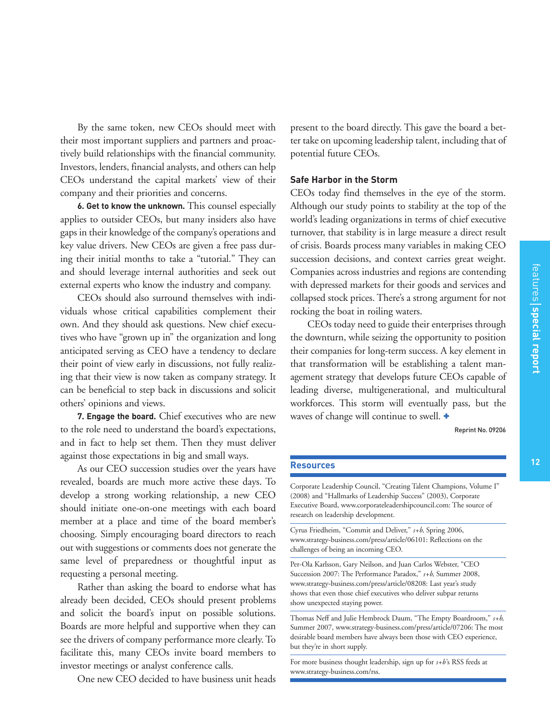By the same token, new CEOs should meet with their most important suppliers and partners and proactively build relationships with the financial community. Investors, lenders, financial analysts, and others can help CEOs understand the capital markets' view of their company and their priorities and concerns.

**6. Get to know the unknown.** This counsel especially applies to outsider CEOs, but many insiders also have gaps in their knowledge of the company's operations and key value drivers. New CEOs are given a free pass during their initial months to take a "tutorial." They can and should leverage internal authorities and seek out external experts who know the industry and company.

CEOs should also surround themselves with individuals whose critical capabilities complement their own. And they should ask questions. New chief executives who have "grown up in" the organization and long anticipated serving as CEO have a tendency to declare their point of view early in discussions, not fully realizing that their view is now taken as company strategy. It can be beneficial to step back in discussions and solicit others' opinions and views.

**7. Engage the board.** Chief executives who are new to the role need to understand the board's expectations, and in fact to help set them. Then they must deliver against those expectations in big and small ways.

As our CEO succession studies over the years have revealed, boards are much more active these days. To develop a strong working relationship, a new CEO should initiate one-on-one meetings with each board member at a place and time of the board member's choosing. Simply encouraging board directors to reach out with suggestions or comments does not generate the same level of preparedness or thoughtful input as requesting a personal meeting.

Rather than asking the board to endorse what has already been decided, CEOs should present problems and solicit the board's input on possible solutions. Boards are more helpful and supportive when they can see the drivers of company performance more clearly. To facilitate this, many CEOs invite board members to investor meetings or analyst conference calls.

One new CEO decided to have business unit heads

present to the board directly. This gave the board a better take on upcoming leadership talent, including that of potential future CEOs.

#### **Safe Harbor in the Storm**

CEOs today find themselves in the eye of the storm. Although our study points to stability at the top of the world's leading organizations in terms of chief executive turnover, that stability is in large measure a direct result of crisis. Boards process many variables in making CEO succession decisions, and context carries great weight. Companies across industries and regions are contending with depressed markets for their goods and services and collapsed stock prices. There's a strong argument for not rocking the boat in roiling waters.

CEOs today need to guide their enterprises through the downturn, while seizing the opportunity to position their companies for long-term success. A key element in that transformation will be establishing a talent management strategy that develops future CEOs capable of leading diverse, multigenerational, and multicultural workforces. This storm will eventually pass, but the waves of change will continue to swell. **+**

Reprint No. 09206

#### **Resources**

Corporate Leadership Council, "Creating Talent Champions, Volume I" (2008) and "Hallmarks of Leadership Success" (2003), Corporate Executive Board, www.corporateleadershipcouncil.com: The source of research on leadership development.

Cyrus Friedheim, "Commit and Deliver," *s+b,* Spring 2006, www.strategy-business.com/press/article/06101: Reflections on the challenges of being an incoming CEO.

Per-Ola Karlsson, Gary Neilson, and Juan Carlos Webster, "CEO Succession 2007: The Performance Paradox," *s+b,* Summer 2008, www.strategy-business.com/press/article/08208: Last year's study shows that even those chief executives who deliver subpar returns show unexpected staying power.

Thomas Neff and Julie Hembrock Daum, "The Empty Boardroom," *s+b,* Summer 2007, www.strategy-business.com/press/article/07206: The most desirable board members have always been those with CEO experience, but they're in short supply.

For more business thought leadership, sign up for *s+b*'s RSS feeds at www.strategy-business.com/rss.